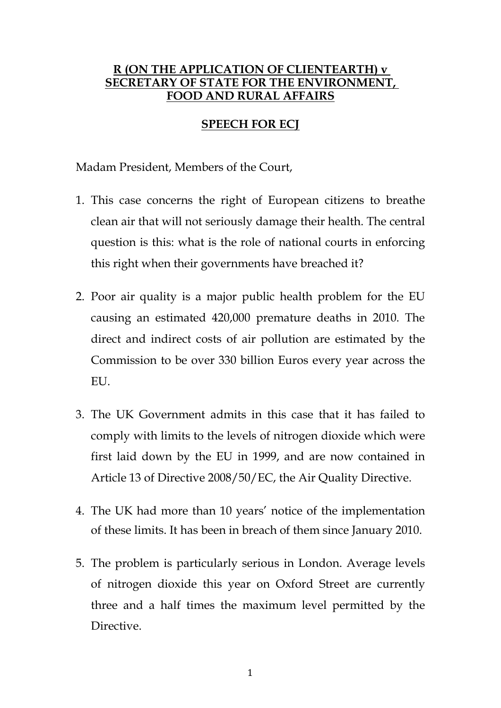## **R (ON THE APPLICATION OF CLIENTEARTH) v SECRETARY OF STATE FOR THE ENVIRONMENT, FOOD AND RURAL AFFAIRS**

# **SPEECH FOR ECJ**

Madam President, Members of the Court,

- 1. This case concerns the right of European citizens to breathe clean air that will not seriously damage their health. The central question is this: what is the role of national courts in enforcing this right when their governments have breached it?
- 2. Poor air quality is a major public health problem for the EU causing an estimated 420,000 premature deaths in 2010. The direct and indirect costs of air pollution are estimated by the Commission to be over 330 billion Euros every year across the EU.
- 3. The UK Government admits in this case that it has failed to comply with limits to the levels of nitrogen dioxide which were first laid down by the EU in 1999, and are now contained in Article 13 of Directive 2008/50/EC, the Air Quality Directive.
- 4. The UK had more than 10 years' notice of the implementation of these limits. It has been in breach of them since January 2010.
- 5. The problem is particularly serious in London. Average levels of nitrogen dioxide this year on Oxford Street are currently three and a half times the maximum level permitted by the Directive.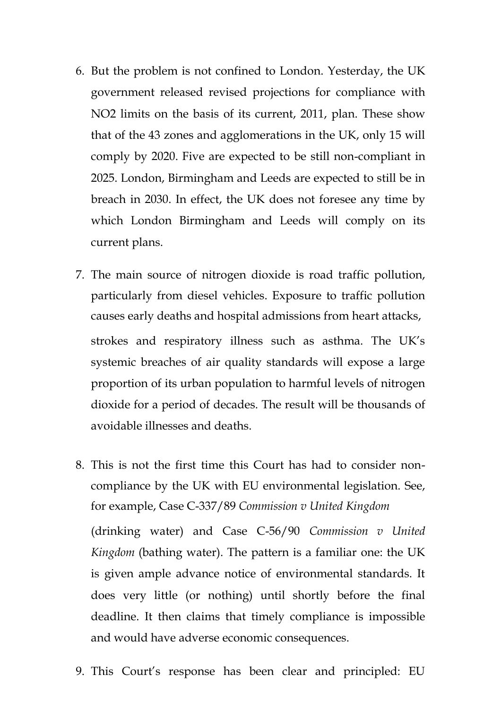- 6. But the problem is not confined to London. Yesterday, the UK government released revised projections for compliance with NO2 limits on the basis of its current, 2011, plan. These show that of the 43 zones and agglomerations in the UK, only 15 will comply by 2020. Five are expected to be still non-compliant in 2025. London, Birmingham and Leeds are expected to still be in breach in 2030. In effect, the UK does not foresee any time by which London Birmingham and Leeds will comply on its current plans.
- 7. The main source of nitrogen dioxide is road traffic pollution, particularly from diesel vehicles. Exposure to traffic pollution causes early deaths and hospital admissions from heart attacks, strokes and respiratory illness such as asthma. The UK's systemic breaches of air quality standards will expose a large proportion of its urban population to harmful levels of nitrogen dioxide for a period of decades. The result will be thousands of avoidable illnesses and deaths.
- 8. This is not the first time this Court has had to consider noncompliance by the UK with EU environmental legislation. See, for example, Case C-337/89 *Commission v United Kingdom* (drinking water) and Case C-56/90 *Commission v United Kingdom* (bathing water). The pattern is a familiar one: the UK is given ample advance notice of environmental standards. It does very little (or nothing) until shortly before the final deadline. It then claims that timely compliance is impossible and would have adverse economic consequences.
- 9. This Court's response has been clear and principled: EU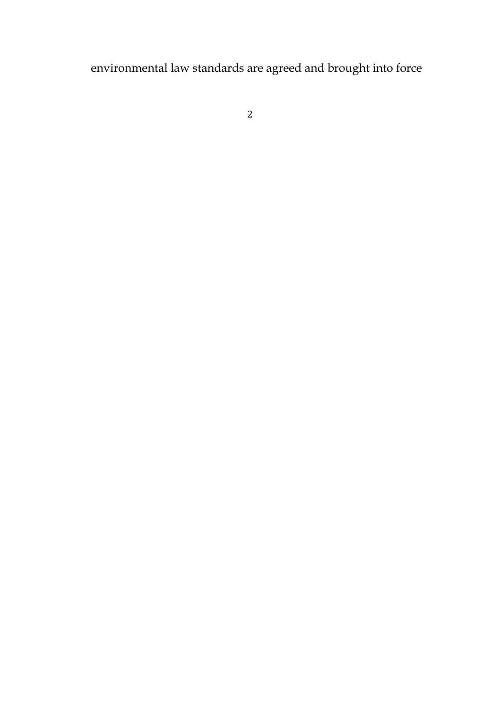environmental law standards are agreed and brought into force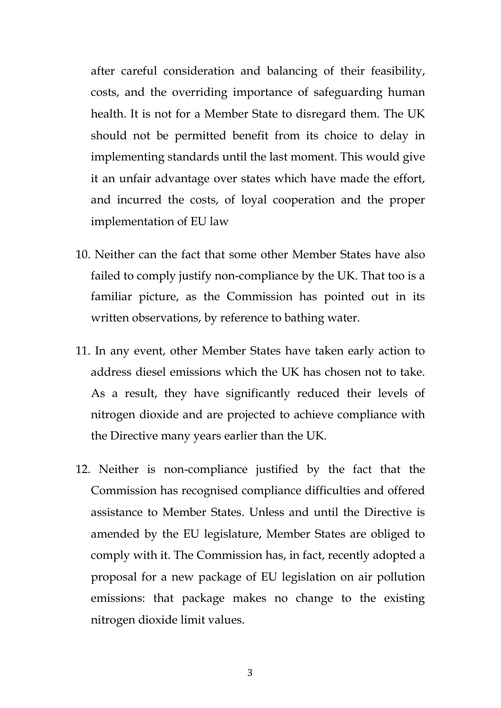after careful consideration and balancing of their feasibility, costs, and the overriding importance of safeguarding human health. It is not for a Member State to disregard them. The UK should not be permitted benefit from its choice to delay in implementing standards until the last moment. This would give it an unfair advantage over states which have made the effort, and incurred the costs, of loyal cooperation and the proper implementation of EU law

- 10. Neither can the fact that some other Member States have also failed to comply justify non-compliance by the UK. That too is a familiar picture, as the Commission has pointed out in its written observations, by reference to bathing water.
- 11. In any event, other Member States have taken early action to address diesel emissions which the UK has chosen not to take. As a result, they have significantly reduced their levels of nitrogen dioxide and are projected to achieve compliance with the Directive many years earlier than the UK.
- 12. Neither is non-compliance justified by the fact that the Commission has recognised compliance difficulties and offered assistance to Member States. Unless and until the Directive is amended by the EU legislature, Member States are obliged to comply with it. The Commission has, in fact, recently adopted a proposal for a new package of EU legislation on air pollution emissions: that package makes no change to the existing nitrogen dioxide limit values.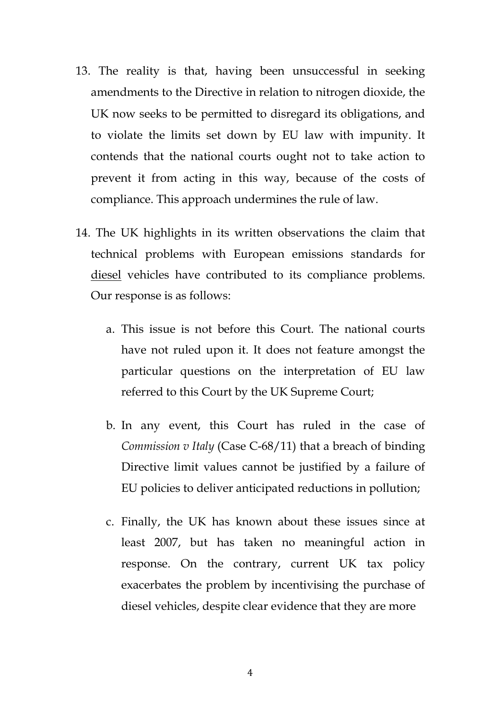- 13. The reality is that, having been unsuccessful in seeking amendments to the Directive in relation to nitrogen dioxide, the UK now seeks to be permitted to disregard its obligations, and to violate the limits set down by EU law with impunity. It contends that the national courts ought not to take action to prevent it from acting in this way, because of the costs of compliance. This approach undermines the rule of law.
- 14. The UK highlights in its written observations the claim that technical problems with European emissions standards for diesel vehicles have contributed to its compliance problems. Our response is as follows:
	- a. This issue is not before this Court. The national courts have not ruled upon it. It does not feature amongst the particular questions on the interpretation of EU law referred to this Court by the UK Supreme Court;
	- b. In any event, this Court has ruled in the case of *Commission v Italy* (Case C-68/11) that a breach of binding Directive limit values cannot be justified by a failure of EU policies to deliver anticipated reductions in pollution;
	- c. Finally, the UK has known about these issues since at least 2007, but has taken no meaningful action in response. On the contrary, current UK tax policy exacerbates the problem by incentivising the purchase of diesel vehicles, despite clear evidence that they are more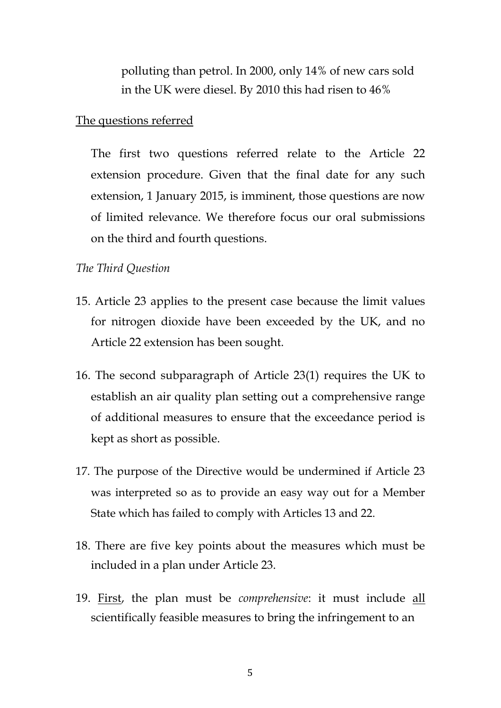polluting than petrol. In 2000, only 14% of new cars sold in the UK were diesel. By 2010 this had risen to 46%

### The questions referred

The first two questions referred relate to the Article 22 extension procedure. Given that the final date for any such extension, 1 January 2015, is imminent, those questions are now of limited relevance. We therefore focus our oral submissions on the third and fourth questions.

### *The Third Question*

- 15. Article 23 applies to the present case because the limit values for nitrogen dioxide have been exceeded by the UK, and no Article 22 extension has been sought.
- 16. The second subparagraph of Article 23(1) requires the UK to establish an air quality plan setting out a comprehensive range of additional measures to ensure that the exceedance period is kept as short as possible.
- 17. The purpose of the Directive would be undermined if Article 23 was interpreted so as to provide an easy way out for a Member State which has failed to comply with Articles 13 and 22.
- 18. There are five key points about the measures which must be included in a plan under Article 23.
- 19. First, the plan must be *comprehensive*: it must include all scientifically feasible measures to bring the infringement to an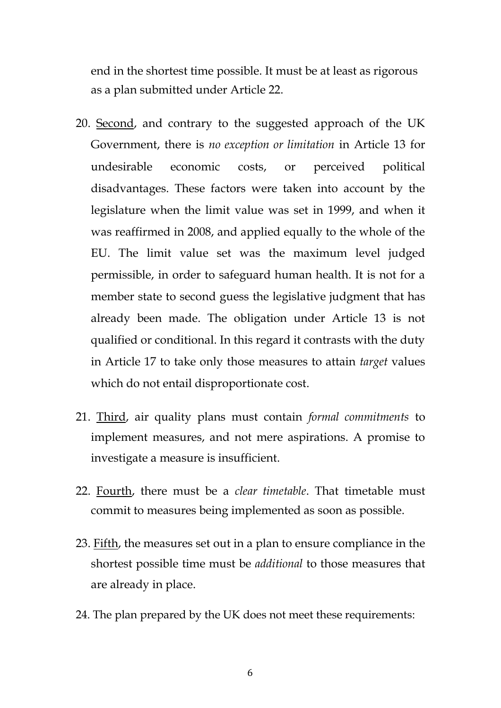end in the shortest time possible. It must be at least as rigorous as a plan submitted under Article 22.

- 20. Second, and contrary to the suggested approach of the UK Government, there is *no exception or limitation* in Article 13 for undesirable economic costs, or perceived political disadvantages. These factors were taken into account by the legislature when the limit value was set in 1999, and when it was reaffirmed in 2008, and applied equally to the whole of the EU. The limit value set was the maximum level judged permissible, in order to safeguard human health. It is not for a member state to second guess the legislative judgment that has already been made. The obligation under Article 13 is not qualified or conditional. In this regard it contrasts with the duty in Article 17 to take only those measures to attain *target* values which do not entail disproportionate cost.
- 21. Third, air quality plans must contain *formal commitments* to implement measures, and not mere aspirations. A promise to investigate a measure is insufficient.
- 22. Fourth, there must be a *clear timetable*. That timetable must commit to measures being implemented as soon as possible.
- 23. Fifth, the measures set out in a plan to ensure compliance in the shortest possible time must be *additional* to those measures that are already in place.
- 24. The plan prepared by the UK does not meet these requirements: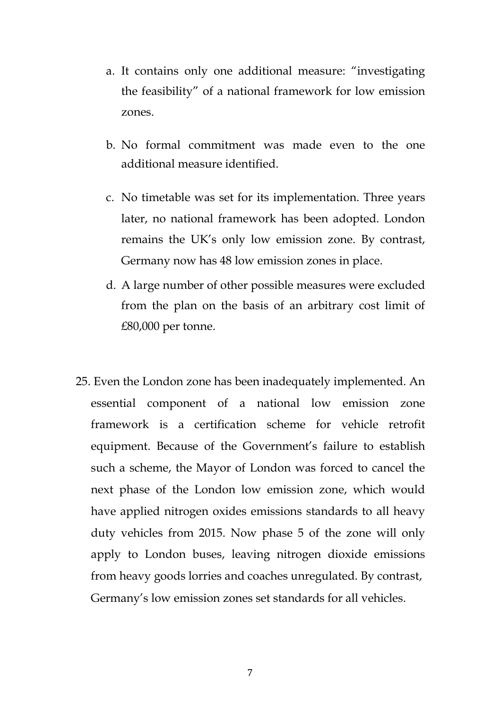- a. It contains only one additional measure: "investigating the feasibility" of a national framework for low emission zones.
- b. No formal commitment was made even to the one additional measure identified.
- c. No timetable was set for its implementation. Three years later, no national framework has been adopted. London remains the UK's only low emission zone. By contrast, Germany now has 48 low emission zones in place.
- d. A large number of other possible measures were excluded from the plan on the basis of an arbitrary cost limit of £80,000 per tonne.
- 25. Even the London zone has been inadequately implemented. An essential component of a national low emission zone framework is a certification scheme for vehicle retrofit equipment. Because of the Government's failure to establish such a scheme, the Mayor of London was forced to cancel the next phase of the London low emission zone, which would have applied nitrogen oxides emissions standards to all heavy duty vehicles from 2015. Now phase 5 of the zone will only apply to London buses, leaving nitrogen dioxide emissions from heavy goods lorries and coaches unregulated. By contrast, Germany's low emission zones set standards for all vehicles.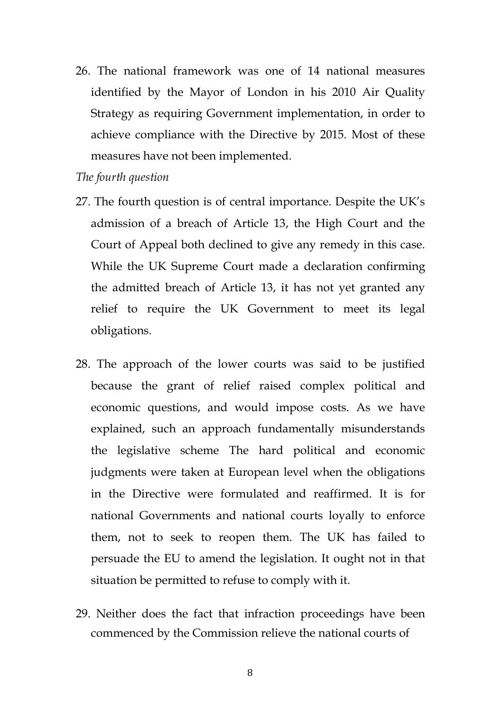26. The national framework was one of 14 national measures identified by the Mayor of London in his 2010 Air Quality Strategy as requiring Government implementation, in order to achieve compliance with the Directive by 2015. Most of these measures have not been implemented.

### *The fourth question*

- 27. The fourth question is of central importance. Despite the UK's admission of a breach of Article 13, the High Court and the Court of Appeal both declined to give any remedy in this case. While the UK Supreme Court made a declaration confirming the admitted breach of Article 13, it has not yet granted any relief to require the UK Government to meet its legal obligations.
- 28. The approach of the lower courts was said to be justified because the grant of relief raised complex political and economic questions, and would impose costs. As we have explained, such an approach fundamentally misunderstands the legislative scheme The hard political and economic judgments were taken at European level when the obligations in the Directive were formulated and reaffirmed. It is for national Governments and national courts loyally to enforce them, not to seek to reopen them. The UK has failed to persuade the EU to amend the legislation. It ought not in that situation be permitted to refuse to comply with it.
- 29. Neither does the fact that infraction proceedings have been commenced by the Commission relieve the national courts of